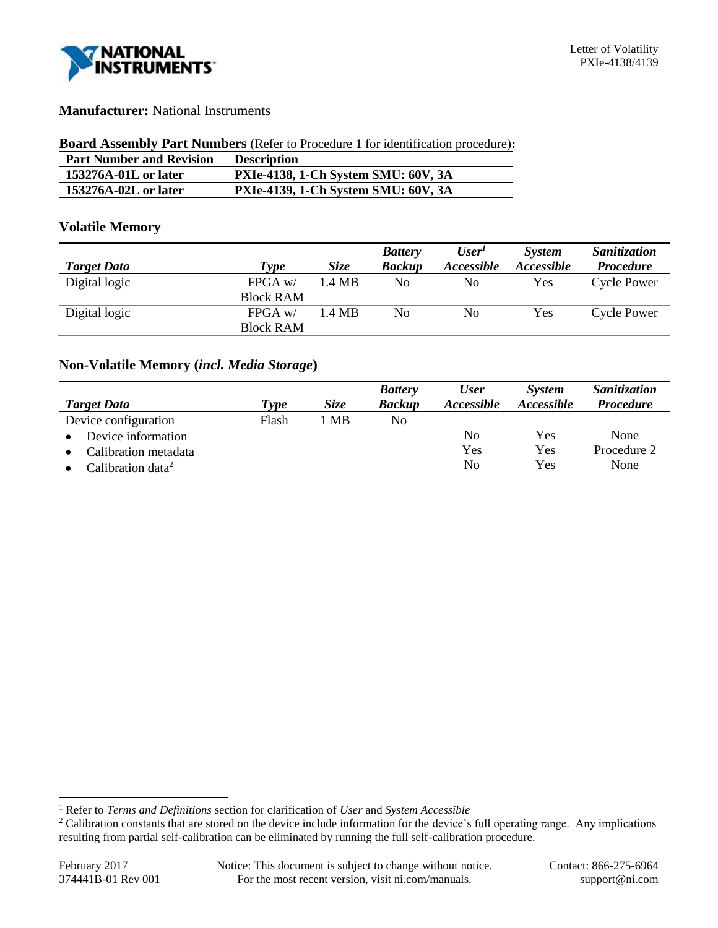

## **Manufacturer:** National Instruments

#### **Board Assembly Part Numbers** (Refer to Procedure 1 for identification procedure)**:**

| <b>Part Number and Revision</b> | <b>Description</b>                         |
|---------------------------------|--------------------------------------------|
| 153276A-01L or later            | <b>PXIe-4138, 1-Ch System SMU: 60V, 3A</b> |
| 153276A-02L or later            | PXIe-4139, 1-Ch System SMU: 60V, 3A        |

### **Volatile Memory**

|                    |                  |             | <b>Battery</b> | User'      | <b>System</b> | Sanitization       |
|--------------------|------------------|-------------|----------------|------------|---------------|--------------------|
| <b>Target Data</b> | Type             | <i>Size</i> | <b>Backup</b>  | Accessible | Accessible    | <b>Procedure</b>   |
| Digital logic      | $FPGA$ w/        | 1.4 MB      | No             | No         | Yes           | <b>Cycle Power</b> |
|                    | <b>Block RAM</b> |             |                |            |               |                    |
| Digital logic      | $FPGA$ w/        | 1.4 MB      | No             | No         | Yes           | Cycle Power        |
|                    | <b>Block RAM</b> |             |                |            |               |                    |

## **Non-Volatile Memory (***incl. Media Storage***)**

|                               |       |             | <b>Battery</b> | <b>User</b>              | <b>System</b>     | <b>Sanitization</b> |
|-------------------------------|-------|-------------|----------------|--------------------------|-------------------|---------------------|
| <b>Target Data</b>            | Type  | <i>Size</i> | <b>Backup</b>  | <i><b>Accessible</b></i> | <i>Accessible</i> | <b>Procedure</b>    |
| Device configuration          | Flash | l MB        | No             |                          |                   |                     |
| Device information            |       |             |                | No                       | Yes               | None                |
| Calibration metadata          |       |             |                | Yes                      | Yes               | Procedure 2         |
| Calibration data <sup>2</sup> |       |             |                | N <sub>0</sub>           | Yes               | None                |

l

<sup>1</sup> Refer to *Terms and Definitions* section for clarification of *User* and *System Accessible*

<sup>&</sup>lt;sup>2</sup> Calibration constants that are stored on the device include information for the device's full operating range. Any implications resulting from partial self-calibration can be eliminated by running the full self-calibration procedure.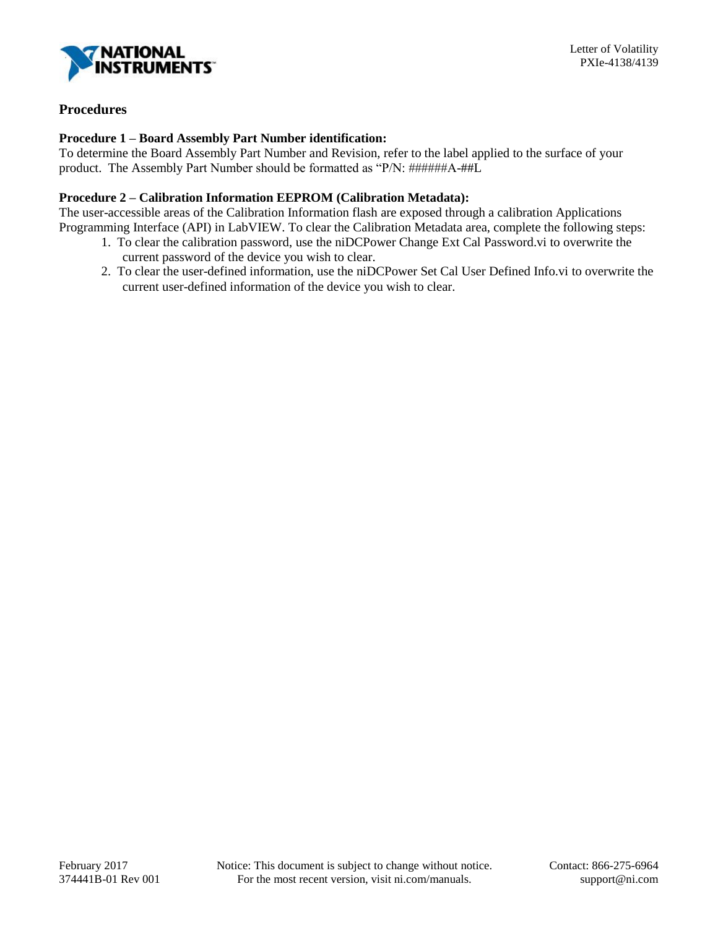

# **Procedures**

### **Procedure 1 – Board Assembly Part Number identification:**

To determine the Board Assembly Part Number and Revision, refer to the label applied to the surface of your product. The Assembly Part Number should be formatted as "P/N: ######A-##L

### **Procedure 2 – Calibration Information EEPROM (Calibration Metadata):**

The user-accessible areas of the Calibration Information flash are exposed through a calibration Applications Programming Interface (API) in LabVIEW. To clear the Calibration Metadata area, complete the following steps:

- 1. To clear the calibration password, use the niDCPower Change Ext Cal Password.vi to overwrite the current password of the device you wish to clear.
- 2. To clear the user-defined information, use the niDCPower Set Cal User Defined Info.vi to overwrite the current user-defined information of the device you wish to clear.